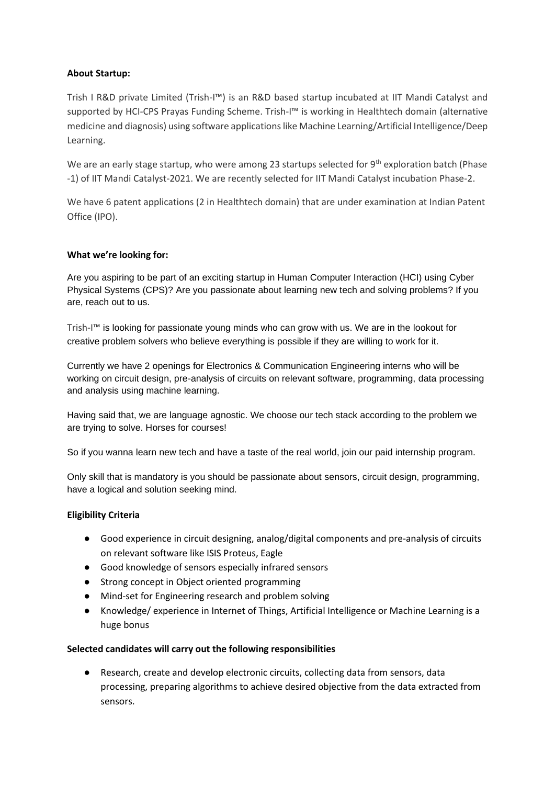# **About Startup:**

Trish I R&D private Limited (Trish-I™) is an R&D based startup incubated at IIT Mandi Catalyst and supported by HCI-CPS Prayas Funding Scheme. Trish-I™ is working in Healthtech domain (alternative medicine and diagnosis) using software applications like Machine Learning/Artificial Intelligence/Deep Learning.

We are an early stage startup, who were among 23 startups selected for 9<sup>th</sup> exploration batch (Phase -1) of IIT Mandi Catalyst-2021. We are recently selected for IIT Mandi Catalyst incubation Phase-2.

We have 6 patent applications (2 in Healthtech domain) that are under examination at Indian Patent Office (IPO).

## **What we're looking for:**

Are you aspiring to be part of an exciting startup in Human Computer Interaction (HCI) using Cyber Physical Systems (CPS)? Are you passionate about learning new tech and solving problems? If you are, reach out to us.

Trish-I™ is looking for passionate young minds who can grow with us. We are in the lookout for creative problem solvers who believe everything is possible if they are willing to work for it.

Currently we have 2 openings for Electronics & Communication Engineering interns who will be working on circuit design, pre-analysis of circuits on relevant software, programming, data processing and analysis using machine learning.

Having said that, we are language agnostic. We choose our tech stack according to the problem we are trying to solve. Horses for courses!

So if you wanna learn new tech and have a taste of the real world, join our paid internship program.

Only skill that is mandatory is you should be passionate about sensors, circuit design, programming, have a logical and solution seeking mind.

## **Eligibility Criteria**

- Good experience in circuit designing, analog/digital components and pre-analysis of circuits on relevant software like ISIS Proteus, Eagle
- Good knowledge of sensors especially infrared sensors
- Strong concept in Object oriented programming
- Mind-set for Engineering research and problem solving
- Knowledge/ experience in Internet of Things, Artificial Intelligence or Machine Learning is a huge bonus

## **Selected candidates will carry out the following responsibilities**

● Research, create and develop electronic circuits, collecting data from sensors, data processing, preparing algorithms to achieve desired objective from the data extracted from sensors.